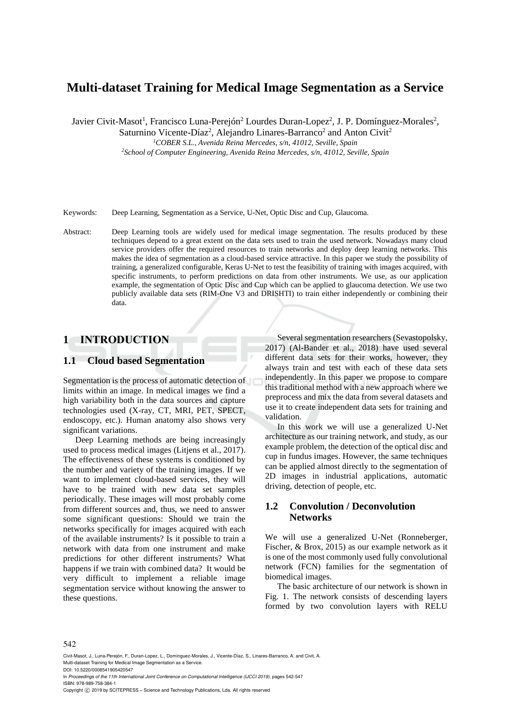# **Multi-dataset Training for Medical Image Segmentation as a Service**

Javier Civit-Masot<sup>1</sup>, Francisco Luna-Perejón<sup>2</sup> Lourdes Duran-Lopez<sup>2</sup>, J. P. Domínguez-Morales<sup>2</sup>,

Saturnino Vicente-Díaz<sup>2</sup>, Alejandro Linares-Barranco<sup>2</sup> and Anton Civit<sup>2</sup>

*<sup>1</sup>COBER S.L., Avenida Reina Mercedes, s/n, 41012, Seville, Spain <sup>2</sup>School of Computer Engineering, Avenida Reina Mercedes, s/n, 41012, Seville, Spain*

Keywords: Deep Learning, Segmentation as a Service, U-Net, Optic Disc and Cup, Glaucoma.

Abstract: Deep Learning tools are widely used for medical image segmentation. The results produced by these techniques depend to a great extent on the data sets used to train the used network. Nowadays many cloud service providers offer the required resources to train networks and deploy deep learning networks. This makes the idea of segmentation as a cloud-based service attractive. In this paper we study the possibility of training, a generalized configurable, Keras U-Net to test the feasibility of training with images acquired, with specific instruments, to perform predictions on data from other instruments. We use, as our application example, the segmentation of Optic Disc and Cup which can be applied to glaucoma detection. We use two publicly available data sets (RIM-One V3 and DRISHTI) to train either independently or combining their data.

## **1 INTRODUCTION**

#### **1.1 Cloud based Segmentation**

Segmentation is the process of automatic detection of limits within an image. In medical images we find a high variability both in the data sources and capture technologies used (X-ray, CT, MRI, PET, SPECT, endoscopy, etc.). Human anatomy also shows very significant variations.

Deep Learning methods are being increasingly used to process medical images (Litjens et al., 2017). The effectiveness of these systems is conditioned by the number and variety of the training images. If we want to implement cloud-based services, they will have to be trained with new data set samples periodically. These images will most probably come from different sources and, thus, we need to answer some significant questions: Should we train the networks specifically for images acquired with each of the available instruments? Is it possible to train a network with data from one instrument and make predictions for other different instruments? What happens if we train with combined data? It would be very difficult to implement a reliable image segmentation service without knowing the answer to these questions.

Several segmentation researchers (Sevastopolsky, 2017) (Al-Bander et al., 2018) have used several different data sets for their works, however, they always train and test with each of these data sets independently. In this paper we propose to compare this traditional method with a new approach where we preprocess and mix the data from several datasets and use it to create independent data sets for training and validation.

In this work we will use a generalized U-Net architecture as our training network, and study, as our example problem, the detection of the optical disc and cup in fundus images. However, the same techniques can be applied almost directly to the segmentation of 2D images in industrial applications, automatic driving, detection of people, etc.

### **1.2 Convolution / Deconvolution Networks**

We will use a generalized U-Net (Ronneberger, Fischer, & Brox, 2015) as our example network as it is one of the most commonly used fully convolutional network (FCN) families for the segmentation of biomedical images.

The basic architecture of our network is shown in Fig. 1. The network consists of descending layers formed by two convolution layers with RELU

#### 542

Civit-Masot, J., Luna-Perejón, F., Duran-Lopez, L., Domínguez-Morales, J., Vicente-Díaz, S., Linares-Barranco, A. and Civit, A. Multi-dataset Training for Medical Image Segmentation as a Service.

DOI: 10.5220/0008541905420547

In *Proceedings of the 11th International Joint Conference on Computational Intelligence (IJCCI 2019)*, pages 542-547 ISBN: 978-989-758-384-1

Copyright  $\odot$  2019 by SCITEPRESS - Science and Technology Publications, Lda. All rights reserved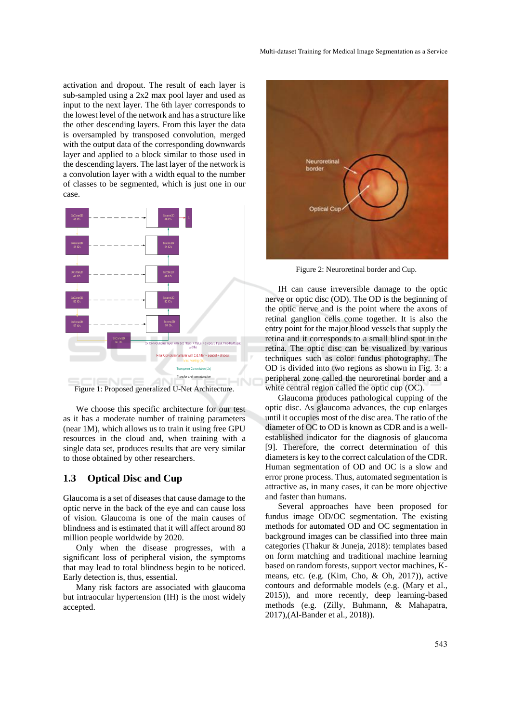activation and dropout. The result of each layer is sub-sampled using a 2x2 max pool layer and used as input to the next layer. The 6th layer corresponds to the lowest level of the network and has a structure like the other descending layers. From this layer the data is oversampled by transposed convolution, merged with the output data of the corresponding downwards layer and applied to a block similar to those used in the descending layers. The last layer of the network is a convolution layer with a width equal to the number of classes to be segmented, which is just one in our case.



Figure 1: Proposed generalized U-Net Architecture.

We choose this specific architecture for our test as it has a moderate number of training parameters (near 1M), which allows us to train it using free GPU resources in the cloud and, when training with a single data set, produces results that are very similar to those obtained by other researchers.

#### **1.3 Optical Disc and Cup**

Glaucoma is a set of diseases that cause damage to the optic nerve in the back of the eye and can cause loss of vision. Glaucoma is one of the main causes of blindness and is estimated that it will affect around 80 million people worldwide by 2020.

Only when the disease progresses, with a significant loss of peripheral vision, the symptoms that may lead to total blindness begin to be noticed. Early detection is, thus, essential.

Many risk factors are associated with glaucoma but intraocular hypertension (IH) is the most widely accepted.



Figure 2: Neuroretinal border and Cup.

IH can cause irreversible damage to the optic nerve or optic disc (OD). The OD is the beginning of the optic nerve and is the point where the axons of retinal ganglion cells come together. It is also the entry point for the major blood vessels that supply the retina and it corresponds to a small blind spot in the retina. The optic disc can be visualized by various techniques such as color fundus photography. The OD is divided into two regions as shown in Fig. 3: a peripheral zone called the neuroretinal border and a white central region called the optic cup (OC).

Glaucoma produces pathological cupping of the optic disc. As glaucoma advances, the cup enlarges until it occupies most of the disc area. The ratio of the diameter of OC to OD is known as CDR and is a wellestablished indicator for the diagnosis of glaucoma [9]. Therefore, the correct determination of this diameters is key to the correct calculation of the CDR. Human segmentation of OD and OC is a slow and error prone process. Thus, automated segmentation is attractive as, in many cases, it can be more objective and faster than humans.

Several approaches have been proposed for fundus image OD/OC segmentation. The existing methods for automated OD and OC segmentation in background images can be classified into three main categories (Thakur & Juneja, 2018): templates based on form matching and traditional machine learning based on random forests, support vector machines, Kmeans, etc. (e.g. (Kim, Cho, & Oh, 2017)), active contours and deformable models (e.g. (Mary et al., 2015)), and more recently, deep learning-based methods (e.g. (Zilly, Buhmann, & Mahapatra, 2017),(Al-Bander et al., 2018)).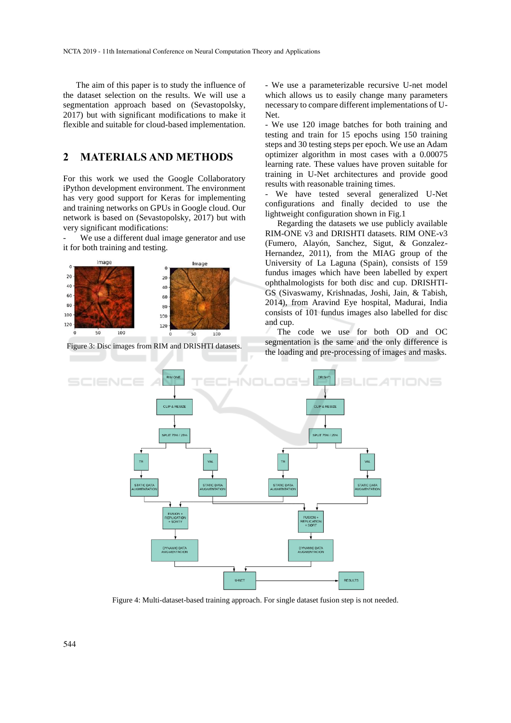The aim of this paper is to study the influence of the dataset selection on the results. We will use a segmentation approach based on (Sevastopolsky, 2017) but with significant modifications to make it flexible and suitable for cloud-based implementation.

## **2 MATERIALS AND METHODS**

For this work we used the Google Collaboratory iPython development environment. The environment has very good support for Keras for implementing and training networks on GPUs in Google cloud. Our network is based on (Sevastopolsky, 2017) but with very significant modifications:

We use a different dual image generator and use it for both training and testing.



Figure 3: Disc images from RIM and DRISHTI datasets.

- We use a parameterizable recursive U-net model which allows us to easily change many parameters necessary to compare different implementations of U-Net.

- We use 120 image batches for both training and testing and train for 15 epochs using 150 training steps and 30 testing steps per epoch. We use an Adam optimizer algorithm in most cases with a 0.00075 learning rate. These values have proven suitable for training in U-Net architectures and provide good results with reasonable training times.

- We have tested several generalized U-Net configurations and finally decided to use the lightweight configuration shown in Fig.1

Regarding the datasets we use publicly available RIM-ONE v3 and DRISHTI datasets. RIM ONE-v3 (Fumero, Alayón, Sanchez, Sigut, & Gonzalez-Hernandez, 2011), from the MIAG group of the University of La Laguna (Spain), consists of 159 fundus images which have been labelled by expert ophthalmologists for both disc and cup. DRISHTI-GS (Sivaswamy, Krishnadas, Joshi, Jain, & Tabish, 2014), from Aravind Eye hospital, Madurai, India consists of 101 fundus images also labelled for disc and cup.

The code we use for both OD and OC segmentation is the same and the only difference is the loading and pre-processing of images and masks.



Figure 4: Multi-dataset-based training approach. For single dataset fusion step is not needed.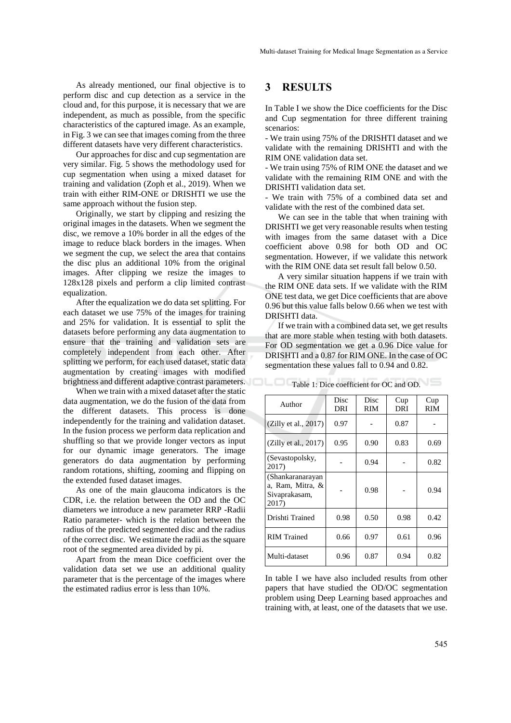As already mentioned, our final objective is to perform disc and cup detection as a service in the cloud and, for this purpose, it is necessary that we are independent, as much as possible, from the specific characteristics of the captured image. As an example, in Fig. 3 we can see that images coming from the three different datasets have very different characteristics.

Our approaches for disc and cup segmentation are very similar. Fig. 5 shows the methodology used for cup segmentation when using a mixed dataset for training and validation (Zoph et al., 2019). When we train with either RIM-ONE or DRISHTI we use the same approach without the fusion step.

Originally, we start by clipping and resizing the original images in the datasets. When we segment the disc, we remove a 10% border in all the edges of the image to reduce black borders in the images. When we segment the cup, we select the area that contains the disc plus an additional 10% from the original images. After clipping we resize the images to 128x128 pixels and perform a clip limited contrast equalization.

After the equalization we do data set splitting. For each dataset we use 75% of the images for training and 25% for validation. It is essential to split the datasets before performing any data augmentation to ensure that the training and validation sets are completely independent from each other. After splitting we perform, for each used dataset, static data augmentation by creating images with modified brightness and different adaptive contrast parameters. Table 1: Dice coefficient for OC and OD.

When we train with a mixed dataset after the static data augmentation, we do the fusion of the data from the different datasets. This process is done independently for the training and validation dataset. In the fusion process we perform data replication and shuffling so that we provide longer vectors as input for our dynamic image generators. The image generators do data augmentation by performing random rotations, shifting, zooming and flipping on the extended fused dataset images.

As one of the main glaucoma indicators is the CDR, i.e. the relation between the OD and the OC diameters we introduce a new parameter RRP -Radii Ratio parameter- which is the relation between the radius of the predicted segmented disc and the radius of the correct disc. We estimate the radii as the square root of the segmented area divided by pi.

Apart from the mean Dice coefficient over the validation data set we use an additional quality parameter that is the percentage of the images where the estimated radius error is less than 10%.

### **3 RESULTS**

In Table I we show the Dice coefficients for the Disc and Cup segmentation for three different training scenarios:

- We train using 75% of the DRISHTI dataset and we validate with the remaining DRISHTI and with the RIM ONE validation data set.

- We train using 75% of RIM ONE the dataset and we validate with the remaining RIM ONE and with the DRISHTI validation data set.

- We train with 75% of a combined data set and validate with the rest of the combined data set.

We can see in the table that when training with DRISHTI we get very reasonable results when testing with images from the same dataset with a Dice coefficient above 0.98 for both OD and OC segmentation. However, if we validate this network with the RIM ONE data set result fall below 0.50.

A very similar situation happens if we train with the RIM ONE data sets. If we validate with the RIM ONE test data, we get Dice coefficients that are above 0.96 but this value falls below 0.66 when we test with DRISHTI data.

If we train with a combined data set, we get results that are more stable when testing with both datasets. For OD segmentation we get a 0.96 Dice value for DRISHTI and a 0.87 for RIM ONE. In the case of OC segmentation these values fall to 0.94 and 0.82.

| Author                                                         | Disc<br>DRI | Disc<br>RIM | Cup<br>DRI | Cup<br>RIM |
|----------------------------------------------------------------|-------------|-------------|------------|------------|
| (Zilly et al., 2017)                                           | 0.97        |             | 0.87       |            |
| (Zilly et al., 2017)                                           | 0.95        | 0.90        | 0.83       | 0.69       |
| (Sevastopolsky,<br>2017)                                       |             | 0.94        |            | 0.82       |
| (Shankaranarayan<br>a, Ram, Mitra, &<br>Sivaprakasam,<br>2017) |             | 0.98        |            | 0.94       |
| Drishti Trained                                                | 0.98        | 0.50        | 0.98       | 0.42       |
| <b>RIM</b> Trained                                             | 0.66        | 0.97        | 0.61       | 0.96       |
| Multi-dataset                                                  | 0.96        | 0.87        | 0.94       | 0.82       |

In table I we have also included results from other papers that have studied the OD/OC segmentation problem using Deep Learning based approaches and training with, at least, one of the datasets that we use.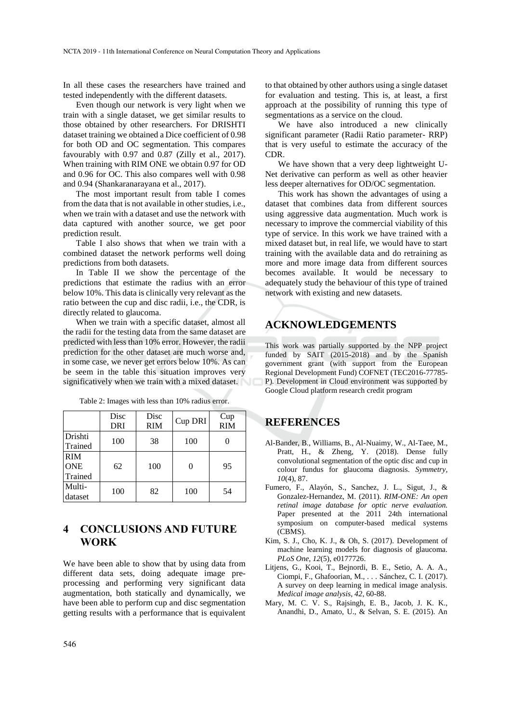In all these cases the researchers have trained and tested independently with the different datasets.

Even though our network is very light when we train with a single dataset, we get similar results to those obtained by other researchers. For DRISHTI dataset training we obtained a Dice coefficient of 0.98 for both OD and OC segmentation. This compares favourably with 0.97 and 0.87 (Zilly et al., 2017). When training with RIM ONE we obtain 0.97 for OD and 0.96 for OC. This also compares well with 0.98 and 0.94 (Shankaranarayana et al., 2017).

The most important result from table I comes from the data that is not available in other studies, i.e., when we train with a dataset and use the network with data captured with another source, we get poor prediction result.

Table I also shows that when we train with a combined dataset the network performs well doing predictions from both datasets.

In Table II we show the percentage of the predictions that estimate the radius with an error below 10%. This data is clinically very relevant as the ratio between the cup and disc radii, i.e., the CDR, is directly related to glaucoma.

When we train with a specific dataset, almost all the radii for the testing data from the same dataset are predicted with less than 10% error. However, the radii prediction for the other dataset are much worse and, in some case, we never get errors below 10%. As can be seem in the table this situation improves very significatively when we train with a mixed dataset.

|                                     | Disc<br><b>DRI</b> | Disc<br><b>RIM</b> | Cup DRI | Cup<br><b>RIM</b> |
|-------------------------------------|--------------------|--------------------|---------|-------------------|
| Drishti<br>Trained                  | 100                | 38                 | 100     |                   |
| <b>RIM</b><br><b>ONE</b><br>Trained | 62                 | 100                | 0       | 95                |
| Multi-<br>dataset                   | 100                | 82                 | 100     | 54                |

Table 2: Images with less than 10% radius error.

# **4 CONCLUSIONS AND FUTURE WORK**

We have been able to show that by using data from different data sets, doing adequate image preprocessing and performing very significant data augmentation, both statically and dynamically, we have been able to perform cup and disc segmentation getting results with a performance that is equivalent

to that obtained by other authors using a single dataset for evaluation and testing. This is, at least, a first approach at the possibility of running this type of segmentations as a service on the cloud.

We have also introduced a new clinically significant parameter (Radii Ratio parameter- RRP) that is very useful to estimate the accuracy of the CDR.

We have shown that a very deep lightweight U-Net derivative can perform as well as other heavier less deeper alternatives for OD/OC segmentation.

This work has shown the advantages of using a dataset that combines data from different sources using aggressive data augmentation. Much work is necessary to improve the commercial viability of this type of service. In this work we have trained with a mixed dataset but, in real life, we would have to start training with the available data and do retraining as more and more image data from different sources becomes available. It would be necessary to adequately study the behaviour of this type of trained network with existing and new datasets.

# **ACKNOWLEDGEMENTS**

This work was partially supported by the NPP project funded by SAIT (2015-2018) and by the Spanish government grant (with support from the European Regional Development Fund) COFNET (TEC2016-77785- P). Development in Cloud environment was supported by Google Cloud platform research credit program

## **REFERENCES**

- Al-Bander, B., Williams, B., Al-Nuaimy, W., Al-Taee, M., Pratt, H., & Zheng, Y. (2018). Dense fully convolutional segmentation of the optic disc and cup in colour fundus for glaucoma diagnosis. *Symmetry, 10*(4), 87.
- Fumero, F., Alayón, S., Sanchez, J. L., Sigut, J., & Gonzalez-Hernandez, M. (2011). *RIM-ONE: An open retinal image database for optic nerve evaluation.* Paper presented at the 2011 24th international symposium on computer-based medical systems (CBMS).
- Kim, S. J., Cho, K. J., & Oh, S. (2017). Development of machine learning models for diagnosis of glaucoma. *PLoS One, 12*(5), e0177726.
- Litjens, G., Kooi, T., Bejnordi, B. E., Setio, A. A. A., Ciompi, F., Ghafoorian, M., . . . Sánchez, C. I. (2017). A survey on deep learning in medical image analysis. *Medical image analysis, 42*, 60-88.
- Mary, M. C. V. S., Rajsingh, E. B., Jacob, J. K. K., Anandhi, D., Amato, U., & Selvan, S. E. (2015). An